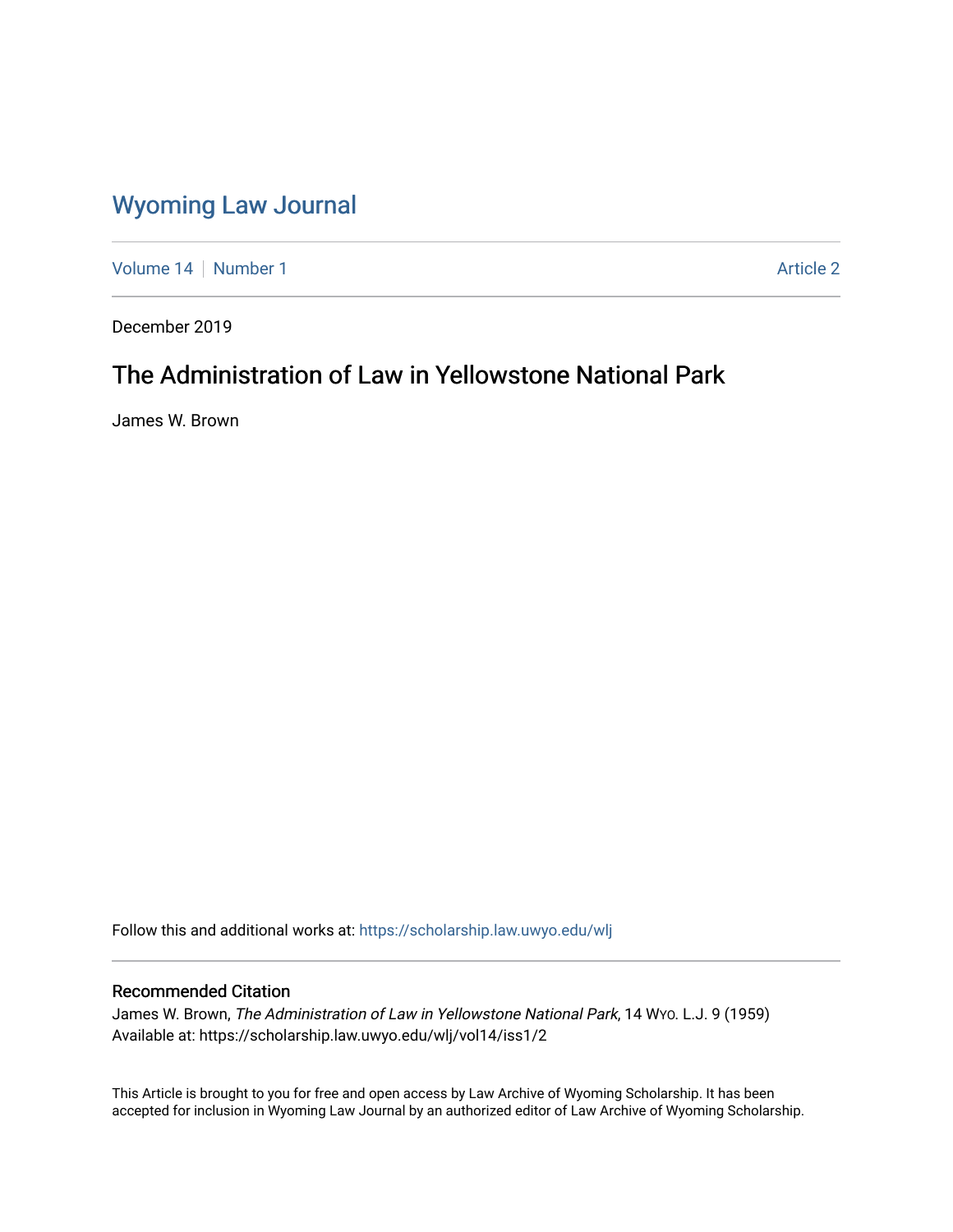# [Wyoming Law Journal](https://scholarship.law.uwyo.edu/wlj)

[Volume 14](https://scholarship.law.uwyo.edu/wlj/vol14) | [Number 1](https://scholarship.law.uwyo.edu/wlj/vol14/iss1) Article 2

December 2019

# The Administration of Law in Yellowstone National Park

James W. Brown

Follow this and additional works at: [https://scholarship.law.uwyo.edu/wlj](https://scholarship.law.uwyo.edu/wlj?utm_source=scholarship.law.uwyo.edu%2Fwlj%2Fvol14%2Fiss1%2F2&utm_medium=PDF&utm_campaign=PDFCoverPages) 

### Recommended Citation

James W. Brown, The Administration of Law in Yellowstone National Park, 14 WYO. L.J. 9 (1959) Available at: https://scholarship.law.uwyo.edu/wlj/vol14/iss1/2

This Article is brought to you for free and open access by Law Archive of Wyoming Scholarship. It has been accepted for inclusion in Wyoming Law Journal by an authorized editor of Law Archive of Wyoming Scholarship.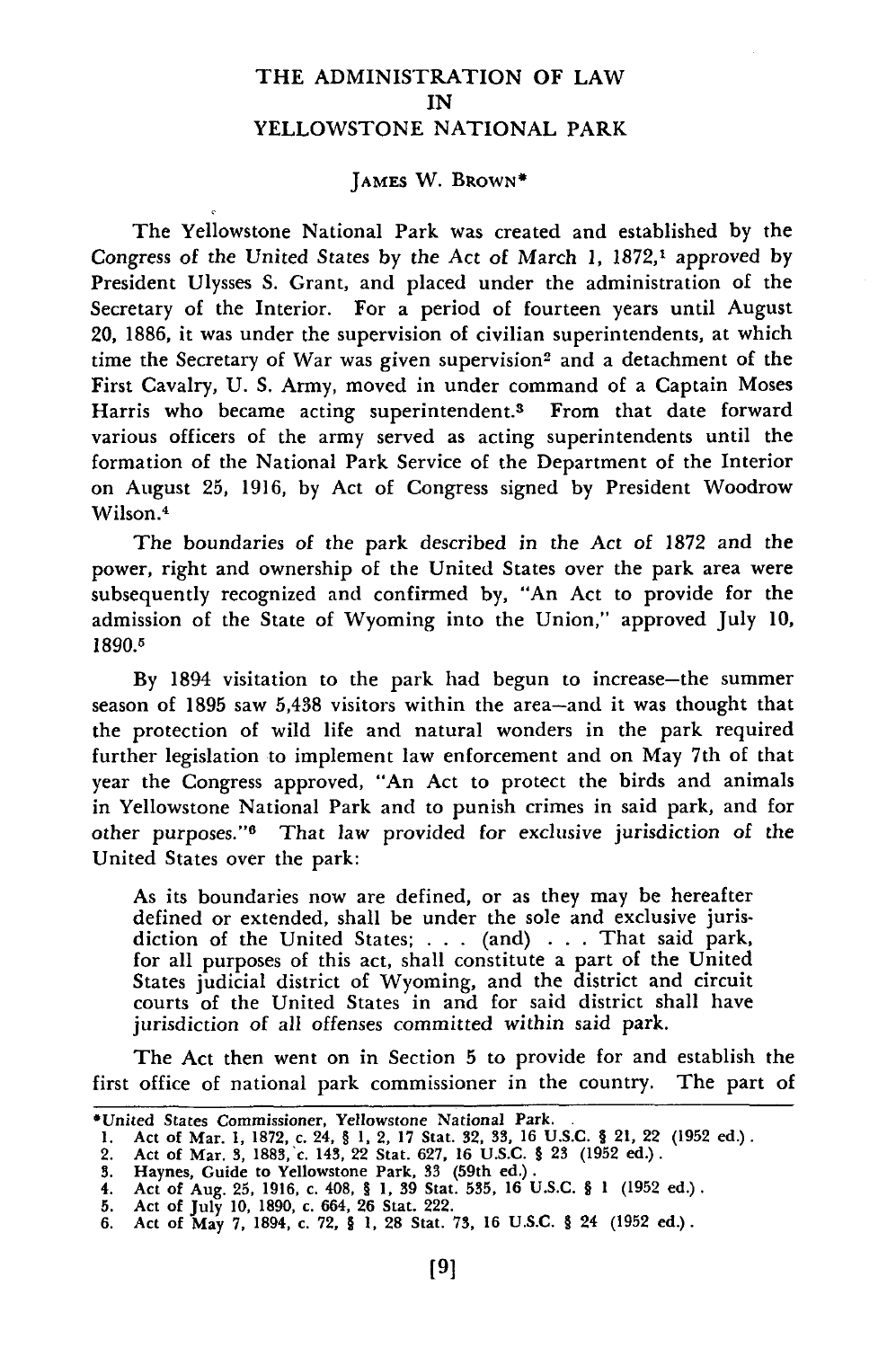### THE ADMINISTRATION OF LAW IN YELLOWSTONE NATIONAL PARK

#### **JAMES** W. BROWN\*

The Yellowstone National Park was created and established **by** the Congress of the United States by the Act of March 1, 1872,<sup>1</sup> approved by President Ulysses S. Grant, and placed under the administration of the Secretary of the Interior. For a period of fourteen years until August 20, 1886, it was under the supervision of civilian superintendents, at which time the Secretary of War was given supervision<sup>2</sup> and a detachment of the First Cavalry, **U.** S. Army, moved in under command of a Captain Moses Harris who became acting superintendent.3 From that date forward various officers of the army served as acting superintendents until the formation of the National Park Service of the Department of the Interior on August 25, 1916, **by** Act of Congress signed **by** President Woodrow Wilson.<sup>4</sup>

The boundaries of the park described in the Act of 1872 and the power, right and ownership of the United States over the park area were subsequently recognized and confirmed **by,** "An Act to provide for the admission of the State of Wyoming into the Union," approved July **10, 1890.1**

By 1894 visitation to the park had begun to increase-the summer season of 1895 saw **5,438** visitors within the area-and it was thought that the protection of wild life and natural wonders in the park required further legislation to implement law enforcement and on May 7th of that year the Congress approved, "An Act to protect the birds and animals in Yellowstone National Park and to punish crimes in said park, and for other purposes."<sup>6</sup> That law provided for exclusive jurisdiction of the United States over the park:

As its boundaries now are defined, or as they may be hereafter defined or extended, shall be under the sole and exclusive jurisdiction of the United States; . . . (and) . . . That said park, for all purposes of this act, shall constitute a part of the United States judicial district of Wyoming, and the district and circuit courts of the United States in and for said district shall have jurisdiction of all offenses committed within said park.

The Act then went on in Section **5** to provide for and establish the first office of national park commissioner in the country. The part of

<sup>\*</sup>United States Commissioner, Yellowstone National Park.

**<sup>1.</sup>** Act of Mar. 1, 1872, *c.* 24, § 1, 2, 17 Stat. **32, 33,** 16 U.S.C. § 21, 22 **(1952** ed.).

<sup>2.</sup> Act of Mar. **3,** 1883,'c. 143, 22 Stat. 627, 16 U.S.C. § **23 (1952** ed.). 3. Haynes, Guide to Yellowstone Park, **33** (59th ed.).

<sup>4.</sup> Act of Aug. **25,** 1916, c. 408, § 1, **39** Stat. **535,** 16 U.S.C. § 1 **(1952** ed.). **5.** Act of July 10, 1890, c. 664, **26** Stat. 222.

<sup>6.</sup> Act of May 7, 1894, c. **72,** § 1, **28** Stat. **73,** 16 U.S.C. § 24 **(1952** ed.).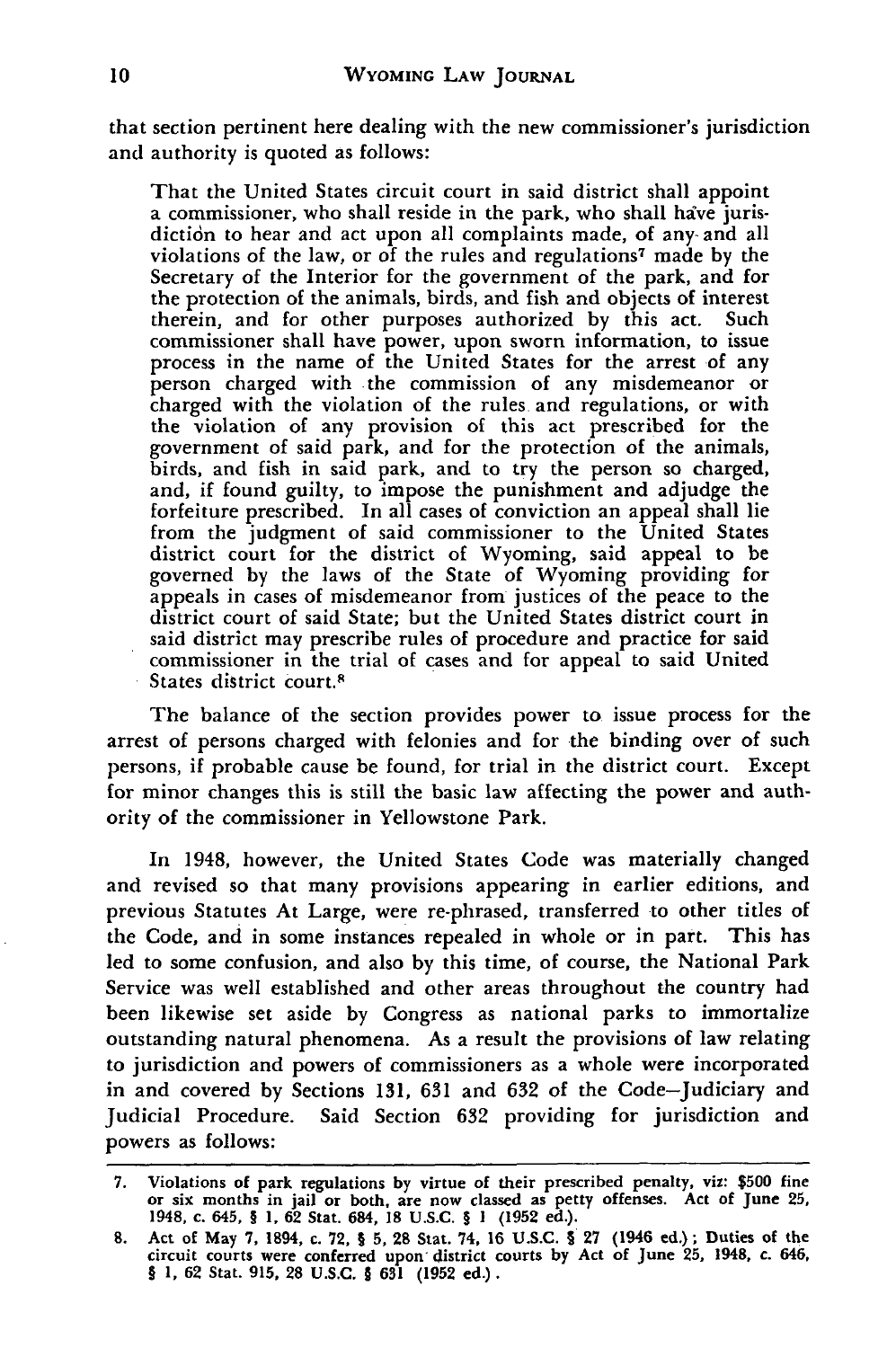that section pertinent here dealing with the new commissioner's jurisdiction and authority is quoted as follows:

That the United States circuit court in said district shall appoint a commissioner, who shall reside in the park, who shall have jurisdiction to hear and act upon all complaints made, of any- and all violations of the law, or of the rules and regulations<sup>7</sup> made by the Secretary of the Interior for the government of the park, and for the protection of the animals, birds, and fish and objects of interest therein, and for other purposes authorized by this act. Such commissioner shall have power, upon sworn information, to issue process in the name of the United States for the arrest of any person charged with the commission of any misdemeanor or charged with the violation of the rules and regulations, or with the violation of any provision of this act prescribed for the government of said park, and for the protection of the animals, birds, and fish in said park, and to try the person so charged, and, if found guilty, to impose the punishment and adjudge the forfeiture prescribed. In all cases of conviction an appeal shall lie from the judgment of said commissioner to the United States district court for the district of Wyoming, said appeal to be governed by the laws of the State of Wyoming providing for appeals in cases of misdemeanor from justices of the peace to the district court of said State; but the United States district court in said district may prescribe rules of procedure and practice for said commissioner in the trial of cases and for appeal to said United States district court.<sup>8</sup>

The balance of the section provides power to issue process for the arrest of persons charged with felonies and for the binding over of such persons, if probable cause be found, for trial in the district court. Except for minor changes this is still the basic law affecting the power and authority of the commissioner in Yellowstone Park.

In 1948, however, the United States Code was materially changed and revised so that many provisions appearing in earlier editions, and previous Statutes At Large, were re-phrased, transferred to other titles of the Code, and in some instances repealed in whole or in part. This has led to some confusion, and also by this time, of course, the National Park Service was well established and other areas throughout the country had been likewise set aside by Congress as national parks to immortalize outstanding natural phenomena. As a result the provisions of law relating to jurisdiction and powers of commissioners as a whole were incorporated in and covered by Sections 131, **631** and **632** of the Code-Judiciary and Judicial Procedure. Said Section 632 providing for jurisdiction and powers as follows:

**<sup>7.</sup>** Violations **of** park regulations **by** virtue **of** their prescribed penalty, viz: **\$500** fine or six months in jail or both, are now classed as petty offenses. Act of June **25,** 1948, c. **645,** § **1, 62** Stat. 684, **18 U.S.C.** § **1 (1952** ed.).

**<sup>8.</sup> Act** of **May 7, 1894,** c. **72,** § **5, 28 Stat. 74, 16 U.S.C.** § **27** (1946 **ed.) ;** Duties of the circuit courts were conferred upon district courts **by** Act of June **25,** 1948, **c.** 646, § **1, 62** Stat. **915, 28 U.S.C.** § **631 (1952** ed.).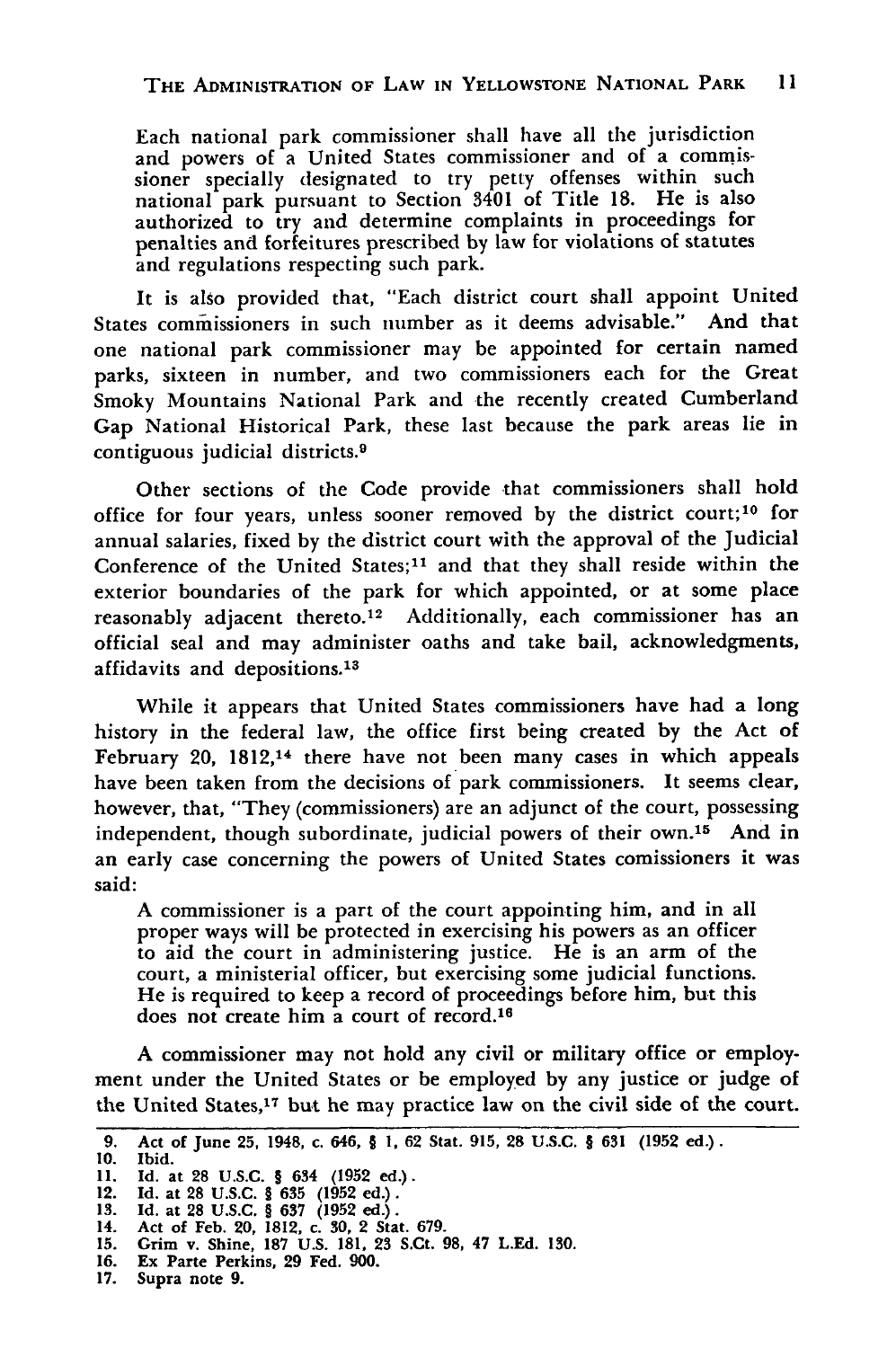Each national park commissioner shall have all the jurisdiction and powers of a United States commissioner and of a commissioner specially designated to try petty offenses within such national park pursuant to Section 3401 of Title **18.** He is also authorized to try and determine complaints in proceedings for penalties and forfeitures prescribed by law for violations of statutes and regulations respecting such park.

It is also provided that, "Each district court shall appoint United States commissioners in such number as it deems advisable." And that one national park commissioner may be appointed for certain named parks, sixteen in number, and two commissioners each for the Great Smoky Mountains National Park and the recently created Cumberland Gap National Historical Park, these last because the park areas lie in contiguous judicial districts.<sup>9</sup>

Other sections of the Code provide that commissioners shall hold office for four years, unless sooner removed by the district court;<sup>10</sup> for annual salaries, fixed by the district court with the approval of the Judicial Conference of the United States;<sup>11</sup> and that they shall reside within the exterior boundaries of the park for which appointed, or at some place reasonably adjacent thereto.<sup>12</sup> Additionally, each commissioner has an official seal and may administer oaths and take bail, acknowledgments, affidavits and depositions.<sup>13</sup>

While it appears that United States commissioners have had a long history in the federal law, the office first being created by the Act of February 20, 1812,<sup>14</sup> there have not been many cases in which appeals have been taken from the decisions of park commissioners. It seems clear, however, that, "They (commissioners) are an adjunct of the court, possessing independent, though subordinate, judicial powers of their own. 15 And in an early case concerning the powers of United States comissioners it was said:

A commissioner is a part of the court appointing him, and in all proper ways will be protected in exercising his powers as an officer to aid the court in administering justice. He is an arm of the court, a ministerial officer, but exercising some judicial functions. He is required to keep a record of proceedings before him, but this does not create him a court of record.<sup>16</sup>

A commissioner may not hold any civil or military office or employment under the United States or be employed by any justice or judge of the United States,17 but he may practice law on the civil side of the court.

**<sup>9.</sup> Act of June 25, 1948, c. 646,** § **1, 62 Stat. 915, 28 U.S.C.** § **631 (1952 ed.).**

**<sup>10.</sup> Ibid.**

**<sup>11.</sup> Id. at 28 U.S.C.** § **634 (1952 ed.). 12. Id. at 28 U.S.C. § 635 (1952 ed.).**

**<sup>13.</sup> Id. at 28 U.S.C.** § **637 (1952 ed.).**

**<sup>14.</sup> Act of Feb. 20, 1812, c. 30, 2 Stat. 679.**

**<sup>15.</sup> Grim v. Shine, 187 U.S. 181, 23 S.Ct. 98, 47 L.Ed. 130.**

**<sup>16.</sup> Ex Parte Perkins, 29 Fed. 900.**

**<sup>17.</sup> Supra note 9.**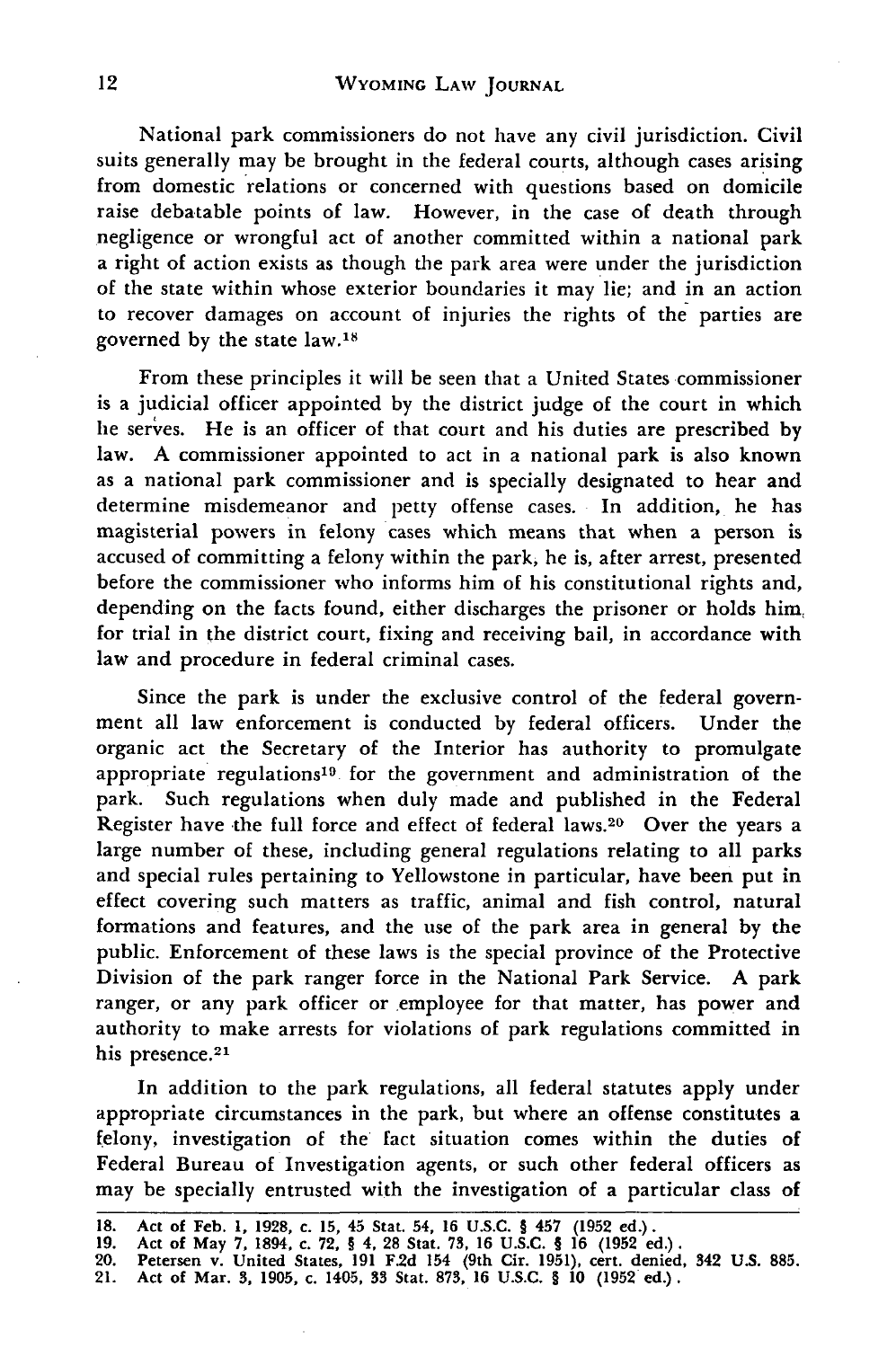National park commissioners do not have any civil jurisdiction. Civil suits generally may be brought in the federal courts, although cases arising from domestic relations or concerned with questions based on domicile raise debatable points of law. However, in the case of death through negligence or wrongful act of another committed within a national park a right of action exists as though the park area were under the jurisdiction of the state within whose exterior boundaries it may lie; and in an action to recover damages on account of injuries the rights of the parties are governed by the state law.18

From these principles it will be seen that a United States commissioner is a judicial officer appointed by the district judge of the court in which he serves. He is an officer of that court and his duties are prescribed by law. A commissioner appointed to act in a national park is also known as a national park commissioner and is specially designated to hear and determine misdemeanor and petty offense cases. In addition, he has magisterial powers in felony cases which means that when a person is accused of committing a felony within the park, he is, after arrest, presented before the commissioner who informs him of his constitutional rights and, depending on the facts found, either discharges the prisoner or holds him for trial in the district court, fixing and receiving bail, in accordance with law and procedure in federal criminal cases.

Since the park is under the exclusive control of the federal government all law enforcement is conducted by federal officers. Under the organic act the Secretary of the Interior has authority to promulgate appropriate regulations<sup>19</sup> for the government and administration of the park. Such regulations when duly made and published in the Federal Register have the full force and effect of federal laws.<sup>20</sup> Over the years a large number of these, including general regulations relating to all parks and special rules pertaining to Yellowstone in particular, have been put in effect covering such matters as traffic, animal and fish control, natural formations and features, and the use of the park area in general by the public. Enforcement of these laws is the special province of the Protective Division of the park ranger force in the National Park Service. **A** park ranger, or any park officer or employee for that matter, has power and authority to make arrests for violations of park regulations committed in his presence.<sup>21</sup>

In addition to the park regulations, all federal statutes apply under appropriate circumstances in the park, but where an offense constitutes a felony, investigation of the fact situation comes within the duties of Federal Bureau of Investigation agents, or such other federal officers as may be specially entrusted with the investigation of a particular class of

**<sup>18.</sup> Act of Feb. 1, 1928, c. 15, 45** Stat. **54, 16 U.S.C.** § **457 (1952 ed.). 19. Act** of **May 7, 1894, c. 72,** § **4, 28 Stat. 73, 16 U.S.C.** § **16 (1952 ed.).**

**<sup>20.</sup> Petersen v. United States, 191 F.2d 154 (9th Cir. 1951), cert. denied, 342 U.S. 885.**

**<sup>21.</sup> Act** of **Mar. 3, 1905, c. 1405, 33 Stat. 873, 16 U.S.C.** § **10 (1952 ed.).**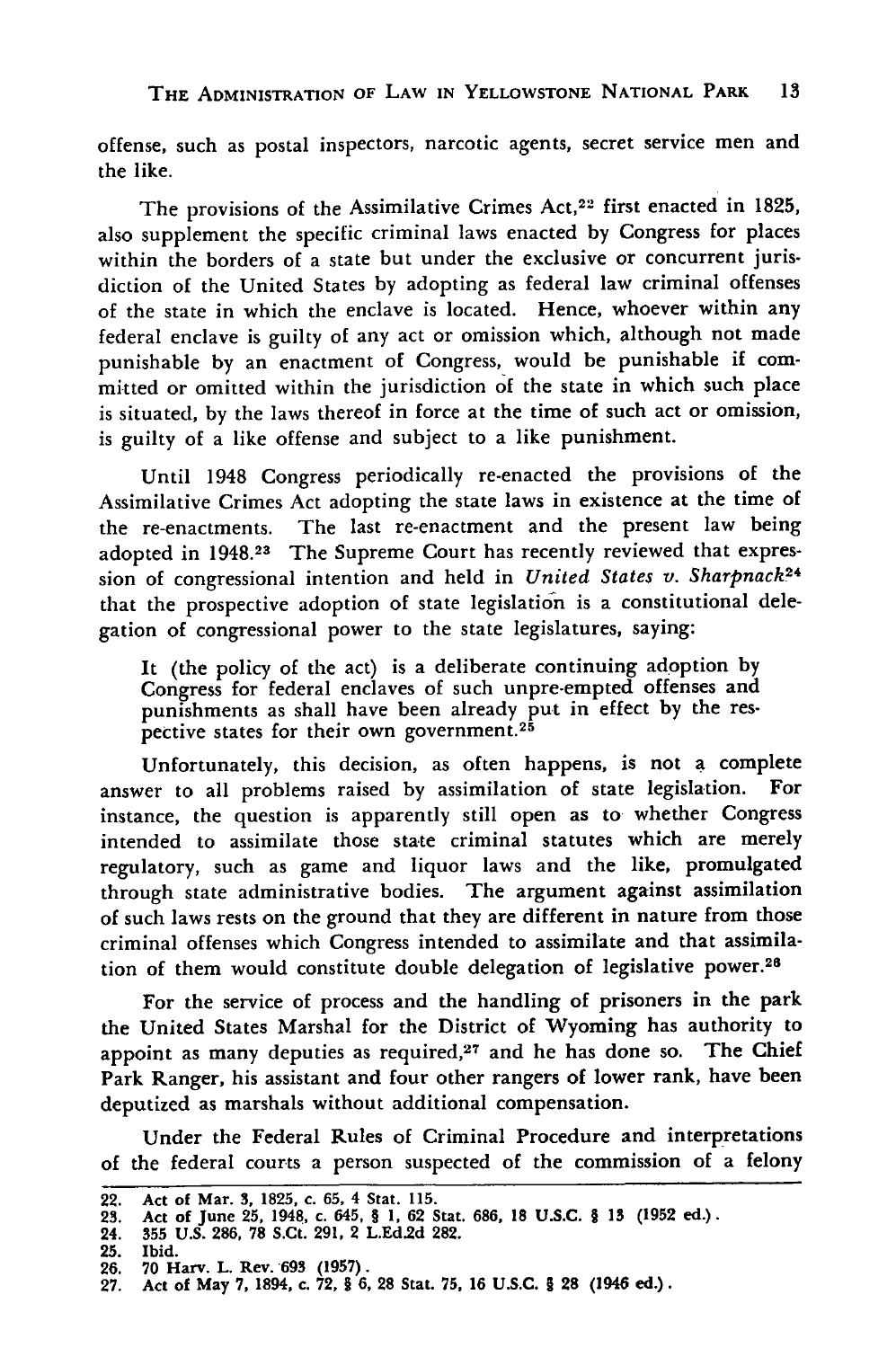offense, such as postal inspectors, narcotic agents, secret service men and the like.

The provisions of the Assimilative Crimes Act,22 first enacted in **1825,** also supplement the specific criminal laws enacted by Congress for places within the borders of a state but under the exclusive or concurrent jurisdiction of the United States **by** adopting as federal law criminal offenses of the state in which the enclave is located. Hence, whoever within any federal enclave is guilty of any act or omission which, although not made punishable **by** an enactment of Congress, would be punishable if committed or omitted within the jurisdiction of the state in which such place is situated, **by** the laws thereof in force at the time of such act or omission, is guilty of a like offense and subject to a like punishment.

Until 1948 Congress periodically re-enacted the provisions of the Assimilative Crimes Act adopting the state laws in existence at the time of the re-enactments. The last re-enactment and the present law being adopted in 1948.23 The Supreme Court has recently reviewed that expression of congressional intention and held in *United States v. Sharpnack2 <sup>4</sup>* that the prospective adoption of state legislation is a constitutional delegation of congressional power to the state legislatures, saying:

It (the policy of the act) is a deliberate continuing adoption by Congress for federal enclaves of such unpre-empted offenses and punishments as shall have been already put in effect by the respective states for their own government.<sup>25</sup>

Unfortunately, this decision, as often happens, is not a complete answer to all problems raised by assimilation of state legislation. For instance, the question is apparently still open as to whether Congress intended to assimilate those state criminal statutes which are merely regulatory, such as game and liquor laws and the like, promulgated through state administrative bodies. The argument against assimilation of such laws rests on the ground that they are different in nature from those criminal offenses which Congress intended to assimilate and that assimilation of them would constitute double delegation of legislative power.<sup>28</sup>

For the service of process and the handling of prisoners in the park the United States Marshal for the District of Wyoming has authority to appoint as many deputies as required, $27$  and he has done so. The Chief Park Ranger, his assistant and four other rangers of lower rank, have been deputized as marshals without additional compensation.

Under the Federal Rules of Criminal Procedure and interpretations of the federal courts a person suspected of the commission of a felony

**<sup>22.</sup> Act of Mar. 3, 1825, c. 65, 4 Stat. 115. 23. Act of June 25, 1948, c. 645, § 1, 62 Stat. 686, 18 U.S.C. § 13 (1952 ed.). 24. 355 U.S. 286, 78 S.Ct. 291, 2 L.Ed2d 282.**

**<sup>25.</sup>** Ibid.

**<sup>26. 70</sup> Harv.** L. Rev. **693 (1957).**

**<sup>27.</sup> Act of May 7, 1894, c. 72, § 6, 28** Stat. **75, 16 U.S.C. § 28** (1946 ed.).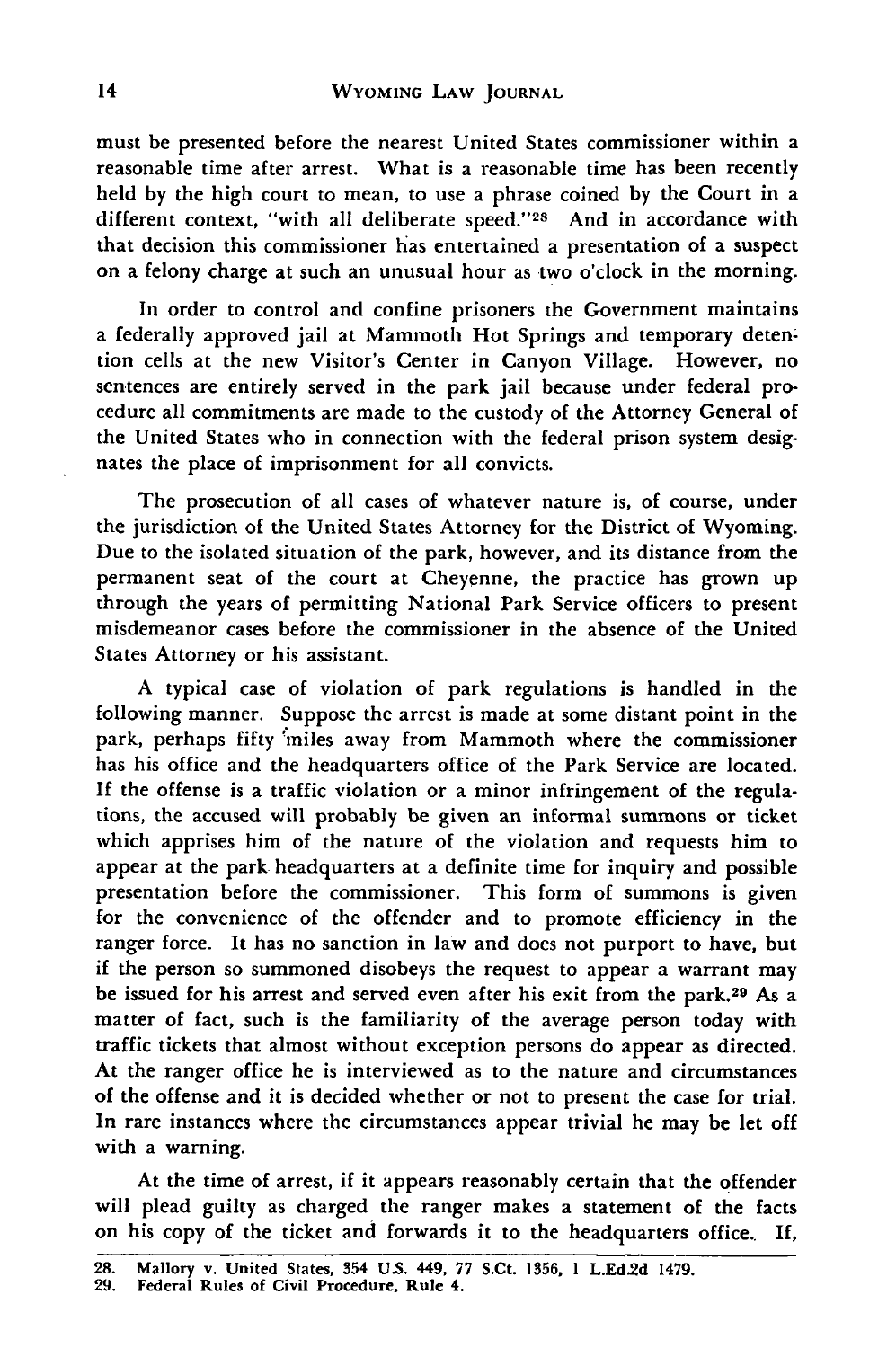must be presented before the nearest United States commissioner within a reasonable time after arrest. What is a reasonable time has been recently held by the high court to mean, to use a phrase coined by the Court in a different context, "with all deliberate speed."<sup>28</sup> And in accordance with that decision this commissioner has entertained a presentation of a suspect on a felony charge at such an unusual hour as two o'clock in the morning.

In order to control and confine prisoners the Government maintains a federally approved jail at Mammoth Hot Springs and temporary detention cells at the new Visitor's Center in Canyon Village. However, no sentences are entirely served in the park jail because under federal procedure all commitments are made to the custody of the Attorney General of the United States who in connection with the federal prison system designates the place of imprisonment for all convicts.

The prosecution of all cases of whatever nature is, of course, under the jurisdiction of the United States Attorney for the District of Wyoming. Due to the isolated situation of the park, however, and its distance from the permanent seat of the court at Cheyenne, the practice has grown up through the years of permitting National Park Service officers to present misdemeanor cases before the commissioner in the absence of the United States Attorney or his assistant.

A typical case of violation of park regulations is handled in the following manner. Suppose the arrest is made at some distant point in the park, perhaps fifty 'miles away from Mammoth where the commissioner has his office and the headquarters office of the Park Service are located. **If** the offense is a traffic violation or a minor infringement of the regulations, the accused will probably be given an informal summons or ticket which apprises him of the nature of the violation and requests him to appear at the park headquarters at a definite time for inquiry and possible presentation before the commissioner. This form of summons is given for the convenience of the offender and to promote efficiency in the ranger force. It has no sanction in law and does not purport to have, but if the person so summoned disobeys the request to appear a warrant may be issued for his arrest and served even after his exit from the park.<sup>29</sup> As a matter of fact, such is the familiarity of the average person today with traffic tickets that almost without exception persons do appear as directed. At the ranger office he is interviewed as to the nature and circumstances of the offense and it is decided whether or not to present the case for trial. In rare instances where the circumstances appear trivial he may be let off with a warning.

At the time of arrest, if it appears reasonably certain that the offender will plead guilty as charged the ranger makes a statement of the facts on his copy of the ticket and forwards it to the headquarters office.. If,

**<sup>28.</sup> Mallory v. United States, 354 U.S. 449, 77 S.Ct. 1356, 1 L.Ed.2d 1479.**

**<sup>29.</sup> Federal Rules of Civil Procedure, Rule 4.**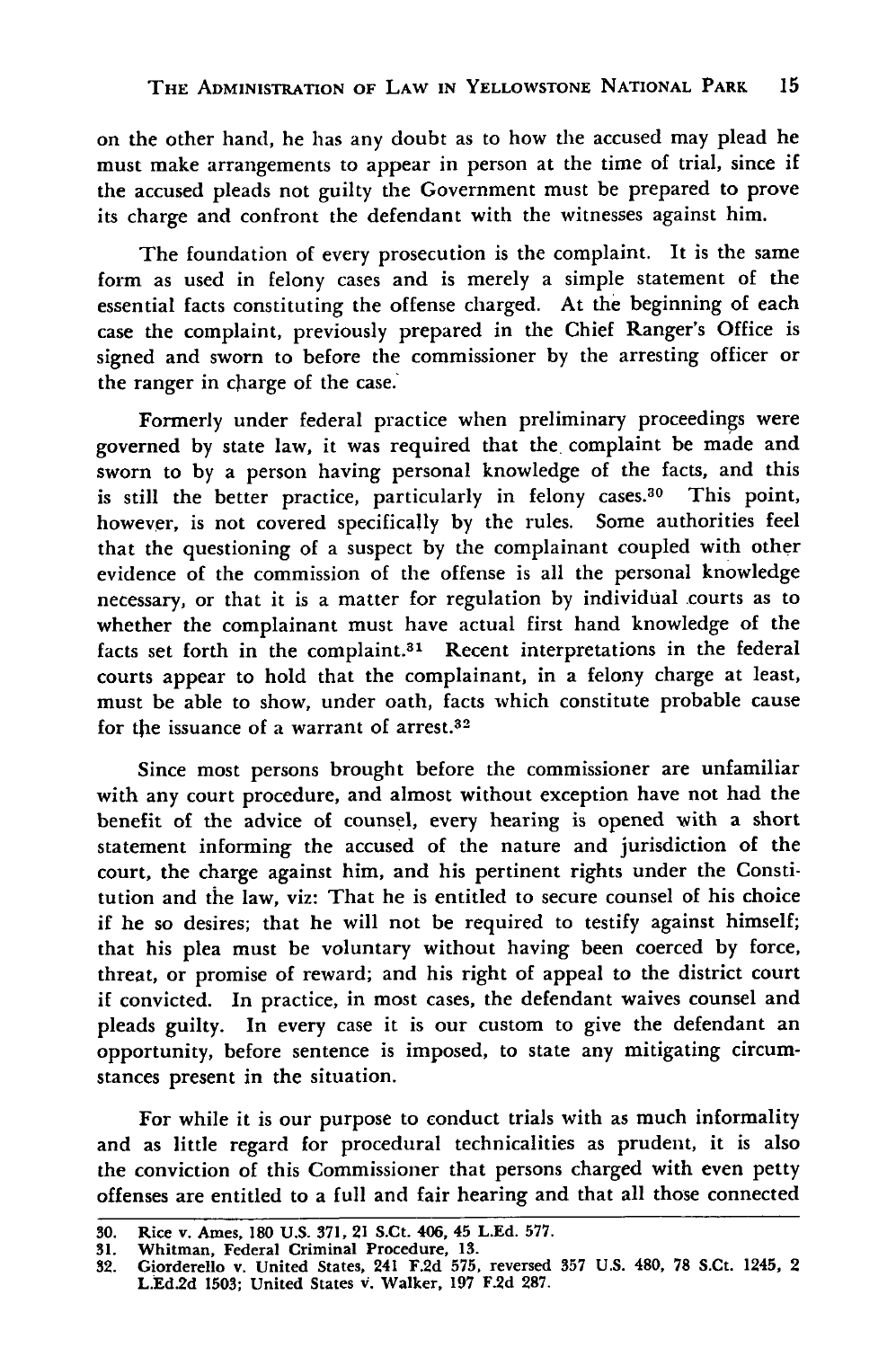on the other hand, he has any doubt as to how the accused may plead he must make arrangements to appear in person at the time of trial, since if the accused pleads not guilty the Government must be prepared to prove its charge and confront the defendant with the witnesses against him.

The foundation of every prosecution is the complaint. It is the same form as used in felony cases and is merely a simple statement of the essential facts constituting the offense charged. At the beginning of each case the complaint, previously prepared in the Chief Ranger's Office is signed and sworn to before the commissioner by the arresting officer or the ranger in charge of the case.

Formerly under federal practice when preliminary proceedings were governed by state law, it was required that the, complaint be made and sworn to by a person having personal knowledge of the facts, and this is still the better practice, particularly in felony cases.<sup>30</sup> This point, however, is not covered specifically by the rules. Some authorities feel that the questioning of a suspect by the complainant coupled with other evidence of the commission of the offense is all the personal knowledge necessary, or that it is a matter for regulation by individual courts as to whether the complainant must have actual first hand knowledge of the facts set forth in the complaint.<sup>31</sup> Recent interpretations in the federal courts appear to hold that the complainant, in a felony charge at least, must be able to show, under oath, facts which constitute probable cause for the issuance of a warrant of arrest.<sup>32</sup>

Since most persons brought before the commissioner are unfamiliar with any court procedure, and almost without exception have not had the benefit of the advice of counsel, every hearing is opened with a short statement informing the accused of the nature and jurisdiction of the court, the charge against him, and his pertinent rights under the Constitution and the law, viz: That he is entitled to secure counsel of his choice if he so desires; that he will not be required to testify against himself; that his plea must be voluntary without having been coerced by force, threat, or promise of reward; and his right of appeal to the district court if convicted. In practice, in most cases, the defendant waives counsel and pleads guilty. In every case it is our custom to give the defendant an opportunity, before sentence is imposed, to state any mitigating circumstances present in the situation.

For while it is our purpose to conduct trials with as much informality and as little regard for procedural technicalities as prudent, it is also the conviction of this Commissioner that persons charged with even petty offenses are entitled to a full and fair hearing and that all those connected

**<sup>30.</sup>** Rice **v. Ames, 180 U.S. 371, 21 S.Ct. 406, 45 L.Ed. 577.**

**<sup>31.</sup> Whitman, Federal Criminal Procedure, 13.**

**<sup>32.</sup> Giorderello v. United States, 241 F.2d 575, reversed 357 U.S. 480, 78 S.Ct. 1245, 2 L.Ed.2d 1503; United States v. Walker, 197 F.2d 287.**